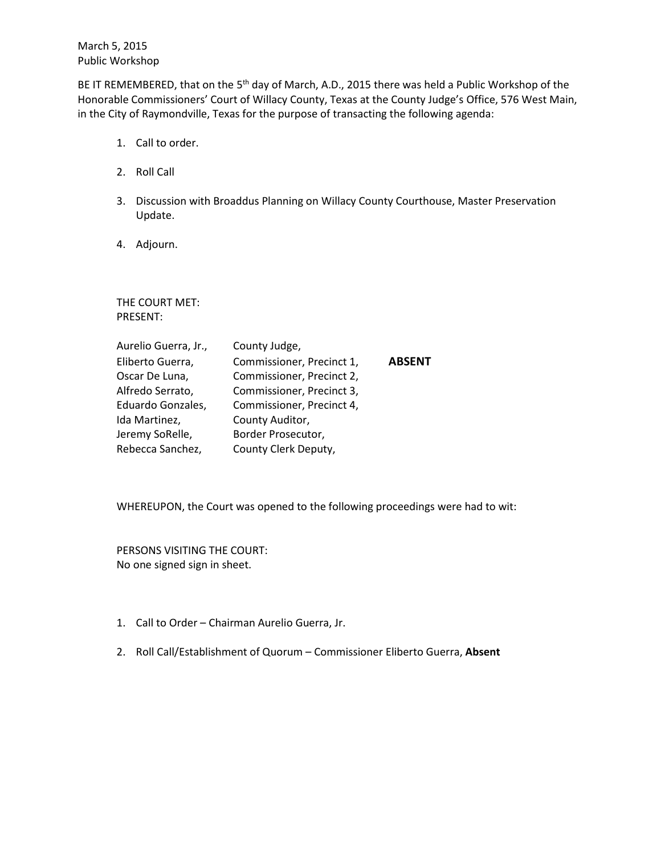March 5, 2015 Public Workshop

BE IT REMEMBERED, that on the 5<sup>th</sup> day of March, A.D., 2015 there was held a Public Workshop of the Honorable Commissioners' Court of Willacy County, Texas at the County Judge's Office, 576 West Main, in the City of Raymondville, Texas for the purpose of transacting the following agenda:

- 1. Call to order.
- 2. Roll Call
- 3. Discussion with Broaddus Planning on Willacy County Courthouse, Master Preservation Update.
- 4. Adjourn.

THE COURT MET: PRESENT:

| Aurelio Guerra, Jr., | County Judge,             |               |
|----------------------|---------------------------|---------------|
| Eliberto Guerra,     | Commissioner, Precinct 1, | <b>ABSENT</b> |
| Oscar De Luna,       | Commissioner, Precinct 2, |               |
| Alfredo Serrato,     | Commissioner, Precinct 3, |               |
| Eduardo Gonzales,    | Commissioner, Precinct 4, |               |
| Ida Martinez,        | County Auditor,           |               |
| Jeremy SoRelle,      | Border Prosecutor,        |               |
| Rebecca Sanchez,     | County Clerk Deputy,      |               |

WHEREUPON, the Court was opened to the following proceedings were had to wit:

PERSONS VISITING THE COURT: No one signed sign in sheet.

- 1. Call to Order Chairman Aurelio Guerra, Jr.
- 2. Roll Call/Establishment of Quorum Commissioner Eliberto Guerra, **Absent**